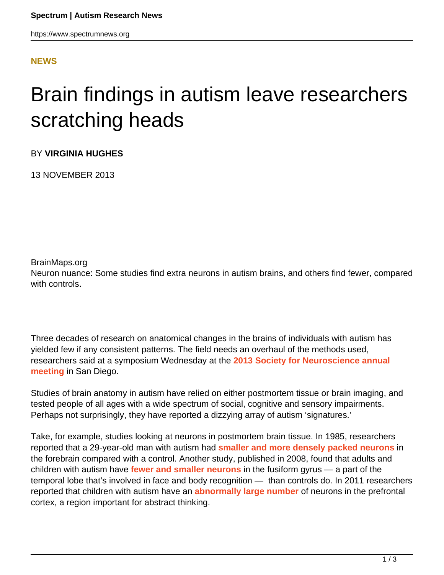## **[NEWS](HTTPS://WWW.SPECTRUMNEWS.ORG/NEWS/)**

## Brain findings in autism leave researchers scratching heads

BY **VIRGINIA HUGHES**

13 NOVEMBER 2013

BrainMaps.org

Neuron nuance: Some studies find extra neurons in autism brains, and others find fewer, compared with controls.

Three decades of research on anatomical changes in the brains of individuals with autism has yielded few if any consistent patterns. The field needs an overhaul of the methods used, researchers said at a symposium Wednesday at the **[2013 Society for Neuroscience annual](https://www.spectrumnews.org/conference-news/2013/society-for-neuroscience-2013/) [meeting](https://www.spectrumnews.org/conference-news/2013/society-for-neuroscience-2013/)** in San Diego.

Studies of brain anatomy in autism have relied on either postmortem tissue or brain imaging, and tested people of all ages with a wide spectrum of social, cognitive and sensory impairments. Perhaps not surprisingly, they have reported a dizzying array of autism 'signatures.'

Take, for example, studies looking at neurons in postmortem brain tissue. In 1985, researchers reported that a 29-year-old man with autism had **[smaller and more densely packed neurons](http://www.ncbi.nlm.nih.gov/pubmed/4000488)** in the forebrain compared with a control. Another study, published in 2008, found that adults and children with autism have **[fewer and smaller neurons](http://brain.oxfordjournals.org/content/131/4/987.abstract)** in the fusiform gyrus — a part of the temporal lobe that's involved in face and body recognition — than controls do. In 2011 researchers reported that children with autism have an **[abnormally large number](https://www.spectrumnews.org/news/2011/autism-brains-have-too-many-neurons-study-suggests)** of neurons in the prefrontal cortex, a region important for abstract thinking.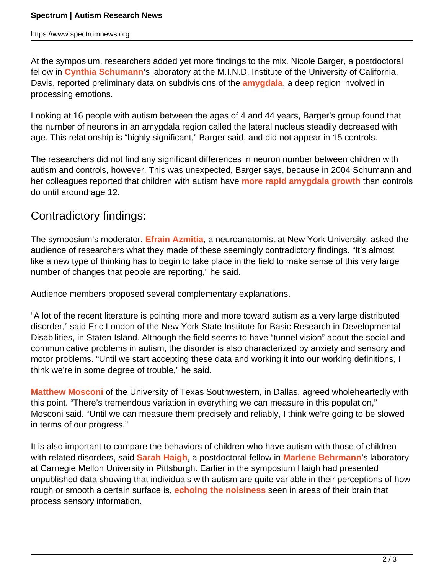At the symposium, researchers added yet more findings to the mix. Nicole Barger, a postdoctoral fellow in **[Cynthia Schumann](http://www.ucdmc.ucdavis.edu/mindinstitute/ourteam/faculty/schumann.html)**'s laboratory at the M.I.N.D. Institute of the University of California, Davis, reported preliminary data on subdivisions of the **[amygdala](https://www.spectrumnews.org/viewpoint/2013/amygdala-and-autisms-checkered-history)**, a deep region involved in processing emotions.

Looking at 16 people with autism between the ages of 4 and 44 years, Barger's group found that the number of neurons in an amygdala region called the lateral nucleus steadily decreased with age. This relationship is "highly significant," Barger said, and did not appear in 15 controls.

The researchers did not find any significant differences in neuron number between children with autism and controls, however. This was unexpected, Barger says, because in 2004 Schumann and her colleagues reported that children with autism have **[more rapid amygdala growth](http://www.ncbi.nlm.nih.gov/pubmed/15254095)** than controls do until around age 12.

## Contradictory findings:

The symposium's moderator, **[Efrain Azmitia](http://biology.as.nyu.edu/object/EfrainAzmitia.html)**, a neuroanatomist at New York University, asked the audience of researchers what they made of these seemingly contradictory findings. "It's almost like a new type of thinking has to begin to take place in the field to make sense of this very large number of changes that people are reporting," he said.

Audience members proposed several complementary explanations.

"A lot of the recent literature is pointing more and more toward autism as a very large distributed disorder," said Eric London of the New York State Institute for Basic Research in Developmental Disabilities, in Staten Island. Although the field seems to have "tunnel vision" about the social and communicative problems in autism, the disorder is also characterized by anxiety and sensory and motor problems. "Until we start accepting these data and working it into our working definitions, I think we're in some degree of trouble," he said.

**[Matthew Mosconi](http://profiles.utsouthwestern.edu/profile/125077/matt-mosconi.html)** of the University of Texas Southwestern, in Dallas, agreed wholeheartedly with this point. "There's tremendous variation in everything we can measure in this population," Mosconi said. "Until we can measure them precisely and reliably, I think we're going to be slowed in terms of our progress."

It is also important to compare the behaviors of children who have autism with those of children with related disorders, said **[Sarah Haigh](http://www.psy.cmu.edu/people/haigh.html)**, a postdoctoral fellow in **[Marlene Behrmann](http://sfari.org/author/?author=https://id.simonsfoundation.org/marlenebehrmann)**'s laboratory at Carnegie Mellon University in Pittsburgh. Earlier in the symposium Haigh had presented unpublished data showing that individuals with autism are quite variable in their perceptions of how rough or smooth a certain surface is, **[echoing the noisiness](https://www.spectrumnews.org/news/2012/noisy-brain-signals-could-underlie-autism-study-says)** seen in areas of their brain that process sensory information.